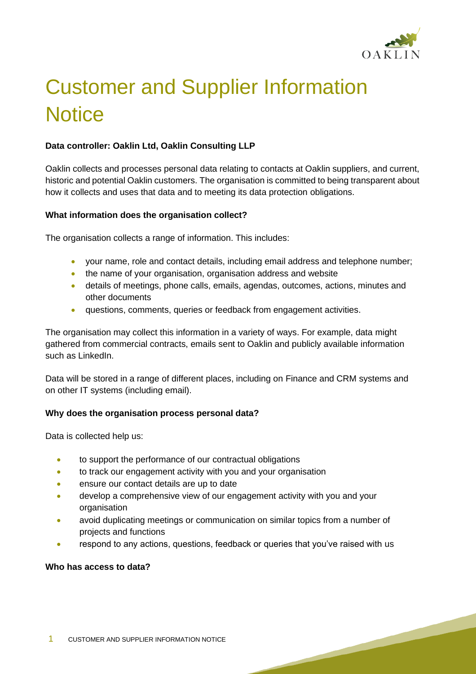

# Customer and Supplier Information **Notice**

# **Data controller: Oaklin Ltd, Oaklin Consulting LLP**

Oaklin collects and processes personal data relating to contacts at Oaklin suppliers, and current, historic and potential Oaklin customers. The organisation is committed to being transparent about how it collects and uses that data and to meeting its data protection obligations.

#### **What information does the organisation collect?**

The organisation collects a range of information. This includes:

- your name, role and contact details, including email address and telephone number;
- the name of your organisation, organisation address and website
- details of meetings, phone calls, emails, agendas, outcomes, actions, minutes and other documents
- questions, comments, queries or feedback from engagement activities.

The organisation may collect this information in a variety of ways. For example, data might gathered from commercial contracts, emails sent to Oaklin and publicly available information such as LinkedIn.

Data will be stored in a range of different places, including on Finance and CRM systems and on other IT systems (including email).

## **Why does the organisation process personal data?**

Data is collected help us:

- to support the performance of our contractual obligations
- to track our engagement activity with you and your organisation
- ensure our contact details are up to date
- develop a comprehensive view of our engagement activity with you and your organisation
- avoid duplicating meetings or communication on similar topics from a number of projects and functions
- respond to any actions, questions, feedback or queries that you've raised with us

#### **Who has access to data?**